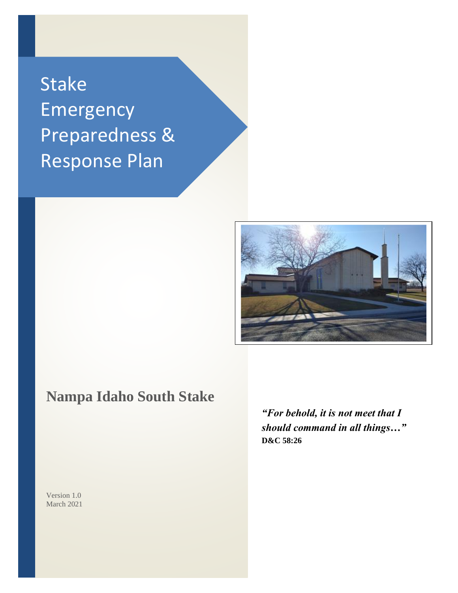# Stake Emergency Preparedness & Response Plan



## **Nampa Idaho South Stake**

*"For behold, it is not meet that I should command in all things…"* **D&C 58:26**

Version 1.0 March 2021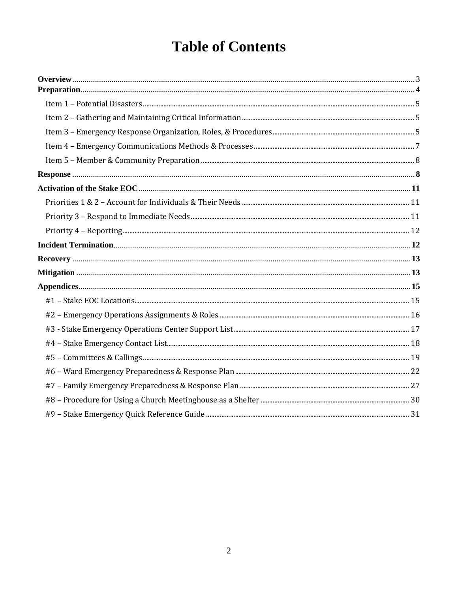## **Table of Contents**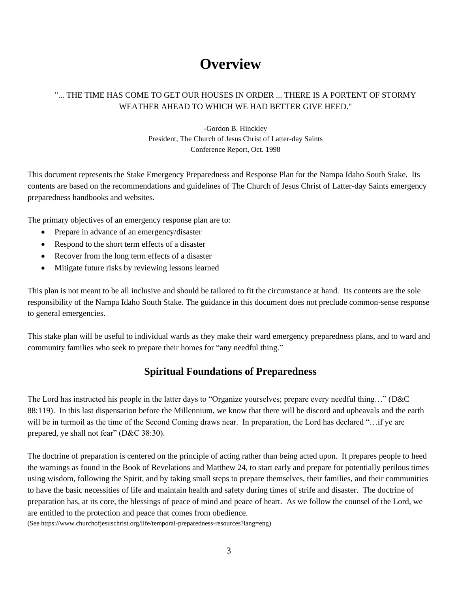## **Overview**

### "... THE TIME HAS COME TO GET OUR HOUSES IN ORDER ... THERE IS A PORTENT OF STORMY WEATHER AHEAD TO WHICH WE HAD BETTER GIVE HEED."

-Gordon B. Hinckley President, The Church of Jesus Christ of Latter-day Saints Conference Report, Oct. 1998

This document represents the Stake Emergency Preparedness and Response Plan for the Nampa Idaho South Stake. Its contents are based on the recommendations and guidelines of The Church of Jesus Christ of Latter-day Saints emergency preparedness handbooks and websites.

The primary objectives of an emergency response plan are to:

- Prepare in advance of an emergency/disaster
- Respond to the short term effects of a disaster
- Recover from the long term effects of a disaster
- Mitigate future risks by reviewing lessons learned

This plan is not meant to be all inclusive and should be tailored to fit the circumstance at hand. Its contents are the sole responsibility of the Nampa Idaho South Stake. The guidance in this document does not preclude common-sense response to general emergencies.

This stake plan will be useful to individual wards as they make their ward emergency preparedness plans, and to ward and community families who seek to prepare their homes for "any needful thing."

### **Spiritual Foundations of Preparedness**

The Lord has instructed his people in the latter days to "Organize yourselves; prepare every needful thing…" (D&C 88:119). In this last dispensation before the Millennium, we know that there will be discord and upheavals and the earth will be in turmoil as the time of the Second Coming draws near. In preparation, the Lord has declared "... if ye are prepared, ye shall not fear" (D&C 38:30).

The doctrine of preparation is centered on the principle of acting rather than being acted upon. It prepares people to heed the warnings as found in the Book of Revelations and Matthew 24, to start early and prepare for potentially perilous times using wisdom, following the Spirit, and by taking small steps to prepare themselves, their families, and their communities to have the basic necessities of life and maintain health and safety during times of strife and disaster. The doctrine of preparation has, at its core, the blessings of peace of mind and peace of heart. As we follow the counsel of the Lord, we are entitled to the protection and peace that comes from obedience.

(See https://www.churchofjesuschrist.org/life/temporal-preparedness-resources?lang=eng)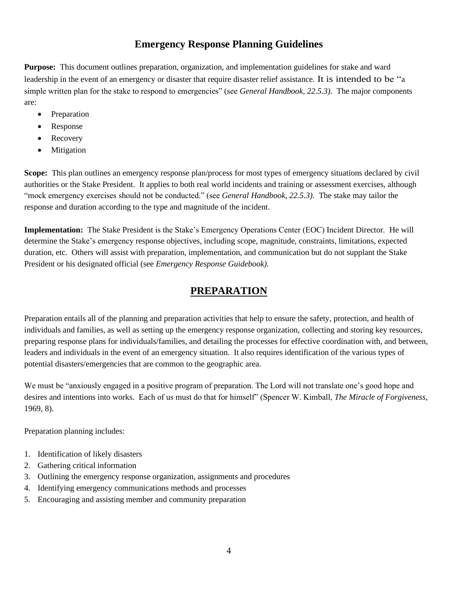### **Emergency Response Planning Guidelines**

**Purpose:** This document outlines preparation, organization, and implementation guidelines for stake and ward leadership in the event of an emergency or disaster that require disaster relief assistance. It is intended to be "a simple written plan for the stake to respond to emergencies" (see *General Handbook, 22.5.3).* The major components are:

- Preparation
- Response
- **Recovery**
- Mitigation

**Scope:** This plan outlines an emergency response plan/process for most types of emergency situations declared by civil authorities or the Stake President. It applies to both real world incidents and training or assessment exercises, although "mock emergency exercises should not be conducted." (see *General Handbook, 22.5.3).* The stake may tailor the response and duration according to the type and magnitude of the incident.

**Implementation:** The Stake President is the Stake's Emergency Operations Center (EOC) Incident Director*.* He will determine the Stake's emergency response objectives, including scope, magnitude, constraints, limitations, expected duration, etc. Others will assist with preparation, implementation, and communication but do not supplant the Stake President or his designated official (see *Emergency Response Guidebook).*

### **PREPARATION**

Preparation entails all of the planning and preparation activities that help to ensure the safety, protection, and health of individuals and families, as well as setting up the emergency response organization, collecting and storing key resources, preparing response plans for individuals/families, and detailing the processes for effective coordination with, and between, leaders and individuals in the event of an emergency situation. It also requires identification of the various types of potential disasters/emergencies that are common to the geographic area.

We must be "anxiously engaged in a positive program of preparation. The Lord will not translate one's good hope and desires and intentions into works. Each of us must do that for himself" (Spencer W. Kimball, *The Miracle of Forgiveness*, 1969, 8).

Preparation planning includes:

- 1. Identification of likely disasters
- 2. Gathering critical information
- 3. Outlining the emergency response organization, assignments and procedures
- 4. Identifying emergency communications methods and processes
- 5. Encouraging and assisting member and community preparation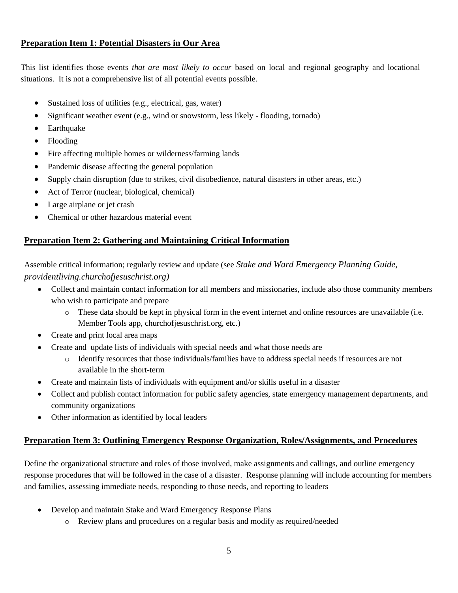### **Preparation Item 1: Potential Disasters in Our Area**

This list identifies those events *that are most likely to occur* based on local and regional geography and locational situations. It is not a comprehensive list of all potential events possible.

- Sustained loss of utilities (e.g., electrical, gas, water)
- Significant weather event (e.g., wind or snowstorm, less likely flooding, tornado)
- Earthquake
- Flooding
- Fire affecting multiple homes or wilderness/farming lands
- Pandemic disease affecting the general population
- Supply chain disruption (due to strikes, civil disobedience, natural disasters in other areas, etc.)
- Act of Terror (nuclear, biological, chemical)
- Large airplane or jet crash
- Chemical or other hazardous material event

### **Preparation Item 2: Gathering and Maintaining Critical Information**

Assemble critical information; regularly review and update (see *Stake and Ward Emergency Planning Guide, providentliving.churchofjesuschrist.org)*

- Collect and maintain contact information for all members and missionaries, include also those community members who wish to participate and prepare
	- o These data should be kept in physical form in the event internet and online resources are unavailable (i.e. Member Tools app, churchofjesuschrist.org, etc.)
- Create and print local area maps
- Create and update lists of individuals with special needs and what those needs are
	- o Identify resources that those individuals/families have to address special needs if resources are not available in the short-term
- Create and maintain lists of individuals with equipment and/or skills useful in a disaster
- Collect and publish contact information for public safety agencies, state emergency management departments, and community organizations
- Other information as identified by local leaders

### **Preparation Item 3: Outlining Emergency Response Organization, Roles/Assignments, and Procedures**

Define the organizational structure and roles of those involved, make assignments and callings, and outline emergency response procedures that will be followed in the case of a disaster. Response planning will include accounting for members and families, assessing immediate needs, responding to those needs, and reporting to leaders

- Develop and maintain Stake and Ward Emergency Response Plans
	- o Review plans and procedures on a regular basis and modify as required/needed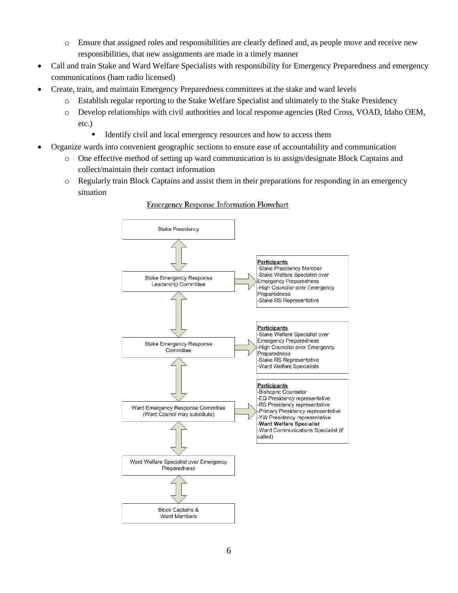- o Ensure that assigned roles and responsibilities are clearly defined and, as people move and receive new responsibilities, that new assignments are made in a timely manner
- Call and train Stake and Ward Welfare Specialists with responsibility for Emergency Preparedness and emergency communications (ham radio licensed)
- Create, train, and maintain Emergency Preparedness committees at the stake and ward levels
	- o Establish regular reporting to the Stake Welfare Specialist and ultimately to the Stake Presidency
	- o Develop relationships with civil authorities and local response agencies (Red Cross, VOAD, Idaho OEM, etc.)
		- **EXECUTE:** Identify civil and local emergency resources and how to access them
- Organize wards into convenient geographic sections to ensure ease of accountability and communication
	- o One effective method of setting up ward communication is to assign/designate Block Captains and collect/maintain their contact information
	- o Regularly train Block Captains and assist them in their preparations for responding in an emergency situation



#### **Emergency Response Information Flowchart**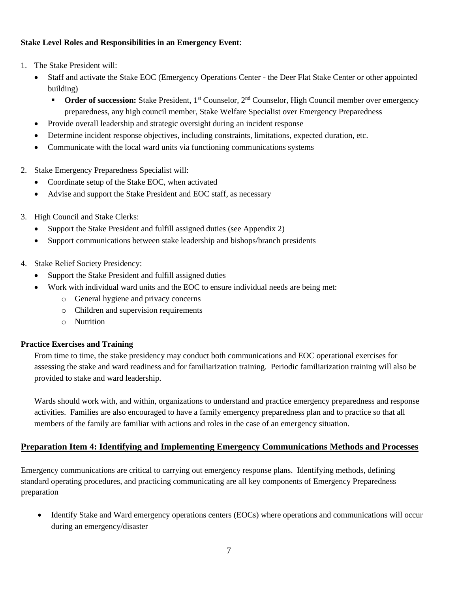### **Stake Level Roles and Responsibilities in an Emergency Event**:

- 1. The Stake President will:
	- Staff and activate the Stake EOC (Emergency Operations Center the Deer Flat Stake Center or other appointed building)
		- **Order of succession:** Stake President, 1<sup>st</sup> Counselor, 2<sup>nd</sup> Counselor, High Council member over emergency preparedness, any high council member, Stake Welfare Specialist over Emergency Preparedness
	- Provide overall leadership and strategic oversight during an incident response
	- Determine incident response objectives, including constraints, limitations, expected duration, etc.
	- Communicate with the local ward units via functioning communications systems
- 2. Stake Emergency Preparedness Specialist will:
	- Coordinate setup of the Stake EOC, when activated
	- Advise and support the Stake President and EOC staff, as necessary
- 3. High Council and Stake Clerks:
	- Support the Stake President and fulfill assigned duties (see Appendix 2)
	- Support communications between stake leadership and bishops/branch presidents
- 4. Stake Relief Society Presidency:
	- Support the Stake President and fulfill assigned duties
	- Work with individual ward units and the EOC to ensure individual needs are being met:
		- o General hygiene and privacy concerns
		- o Children and supervision requirements
		- o Nutrition

### **Practice Exercises and Training**

From time to time, the stake presidency may conduct both communications and EOC operational exercises for assessing the stake and ward readiness and for familiarization training. Periodic familiarization training will also be provided to stake and ward leadership.

Wards should work with, and within, organizations to understand and practice emergency preparedness and response activities. Families are also encouraged to have a family emergency preparedness plan and to practice so that all members of the family are familiar with actions and roles in the case of an emergency situation.

### **Preparation Item 4: Identifying and Implementing Emergency Communications Methods and Processes**

Emergency communications are critical to carrying out emergency response plans. Identifying methods, defining standard operating procedures, and practicing communicating are all key components of Emergency Preparedness preparation

• Identify Stake and Ward emergency operations centers (EOCs) where operations and communications will occur during an emergency/disaster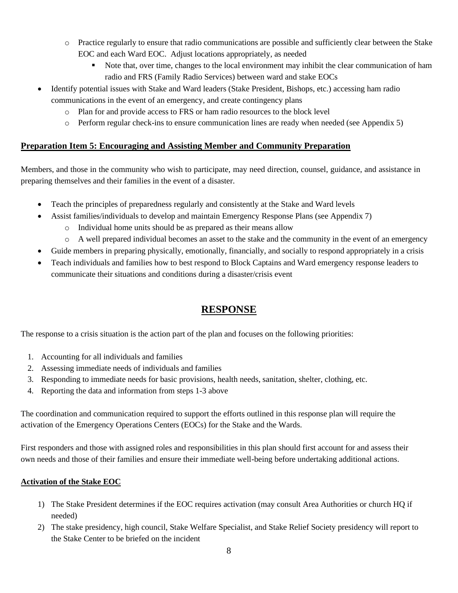- o Practice regularly to ensure that radio communications are possible and sufficiently clear between the Stake EOC and each Ward EOC. Adjust locations appropriately, as needed
	- Note that, over time, changes to the local environment may inhibit the clear communication of ham radio and FRS (Family Radio Services) between ward and stake EOCs
- Identify potential issues with Stake and Ward leaders (Stake President, Bishops, etc.) accessing ham radio communications in the event of an emergency, and create contingency plans
	- o Plan for and provide access to FRS or ham radio resources to the block level
	- o Perform regular check-ins to ensure communication lines are ready when needed (see Appendix 5)

### **Preparation Item 5: Encouraging and Assisting Member and Community Preparation**

Members, and those in the community who wish to participate, may need direction, counsel, guidance, and assistance in preparing themselves and their families in the event of a disaster.

- Teach the principles of preparedness regularly and consistently at the Stake and Ward levels
- Assist families/individuals to develop and maintain Emergency Response Plans (see Appendix 7)
	- o Individual home units should be as prepared as their means allow
	- o A well prepared individual becomes an asset to the stake and the community in the event of an emergency
- Guide members in preparing physically, emotionally, financially, and socially to respond appropriately in a crisis
- Teach individuals and families how to best respond to Block Captains and Ward emergency response leaders to communicate their situations and conditions during a disaster/crisis event

### **RESPONSE**

The response to a crisis situation is the action part of the plan and focuses on the following priorities:

- 1. Accounting for all individuals and families
- 2. Assessing immediate needs of individuals and families
- 3. Responding to immediate needs for basic provisions, health needs, sanitation, shelter, clothing, etc.
- 4. Reporting the data and information from steps 1-3 above

The coordination and communication required to support the efforts outlined in this response plan will require the activation of the Emergency Operations Centers (EOCs) for the Stake and the Wards.

First responders and those with assigned roles and responsibilities in this plan should first account for and assess their own needs and those of their families and ensure their immediate well-being before undertaking additional actions.

### **Activation of the Stake EOC**

- 1) The Stake President determines if the EOC requires activation (may consult Area Authorities or church HQ if needed)
- 2) The stake presidency, high council, Stake Welfare Specialist, and Stake Relief Society presidency will report to the Stake Center to be briefed on the incident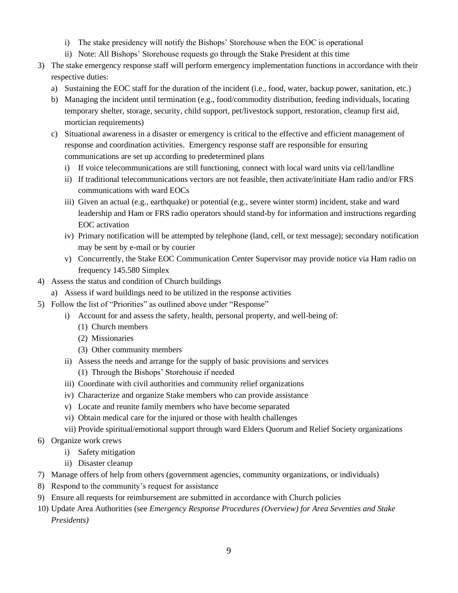- i) The stake presidency will notify the Bishops' Storehouse when the EOC is operational
- ii) Note: All Bishops' Storehouse requests go through the Stake President at this time
- 3) The stake emergency response staff will perform emergency implementation functions in accordance with their respective duties:
	- a) Sustaining the EOC staff for the duration of the incident (i.e., food, water, backup power, sanitation, etc.)
	- b) Managing the incident until termination (e.g., food/commodity distribution, feeding individuals, locating temporary shelter, storage, security, child support, pet/livestock support, restoration, cleanup first aid, mortician requirements)
	- c) Situational awareness in a disaster or emergency is critical to the effective and efficient management of response and coordination activities. Emergency response staff are responsible for ensuring communications are set up according to predetermined plans
		- i) If voice telecommunications are still functioning, connect with local ward units via cell/landline
		- ii) If traditional telecommunications vectors are not feasible, then activate/initiate Ham radio and/or FRS communications with ward EOCs
		- iii) Given an actual (e.g., earthquake) or potential (e.g., severe winter storm) incident, stake and ward leadership and Ham or FRS radio operators should stand-by for information and instructions regarding EOC activation
		- iv) Primary notification will be attempted by telephone (land, cell, or text message); secondary notification may be sent by e-mail or by courier
		- v) Concurrently, the Stake EOC Communication Center Supervisor may provide notice via Ham radio on frequency 145.580 Simplex
- 4) Assess the status and condition of Church buildings
- a) Assess if ward buildings need to be utilized in the response activities
- 5) Follow the list of "Priorities" as outlined above under "Response"
	- i) Account for and assess the safety, health, personal property, and well-being of:
		- (1) Church members
		- (2) Missionaries
		- (3) Other community members
	- ii) Assess the needs and arrange for the supply of basic provisions and services
		- (1) Through the Bishops' Storehouse if needed
	- iii) Coordinate with civil authorities and community relief organizations
	- iv) Characterize and organize Stake members who can provide assistance
	- v) Locate and reunite family members who have become separated
	- vi) Obtain medical care for the injured or those with health challenges
	- vii) Provide spiritual/emotional support through ward Elders Quorum and Relief Society organizations
- 6) Organize work crews
	- i) Safety mitigation
	- ii) Disaster cleanup
- 7) Manage offers of help from others (government agencies, community organizations, or individuals)
- 8) Respond to the community's request for assistance
- 9) Ensure all requests for reimbursement are submitted in accordance with Church policies
- 10) Update Area Authorities (see *Emergency Response Procedures (Overview) for Area Seventies and Stake Presidents)*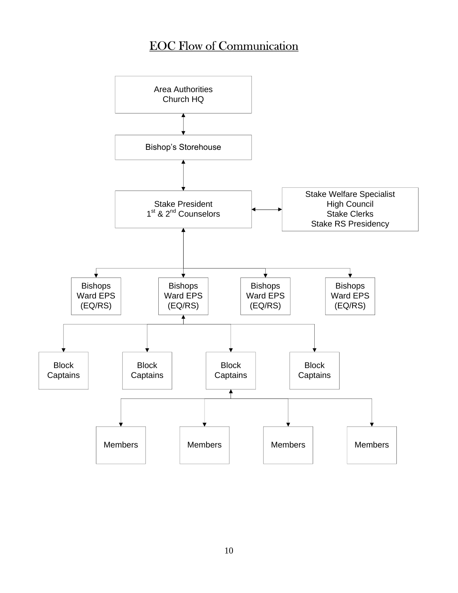## EOC Flow of Communication

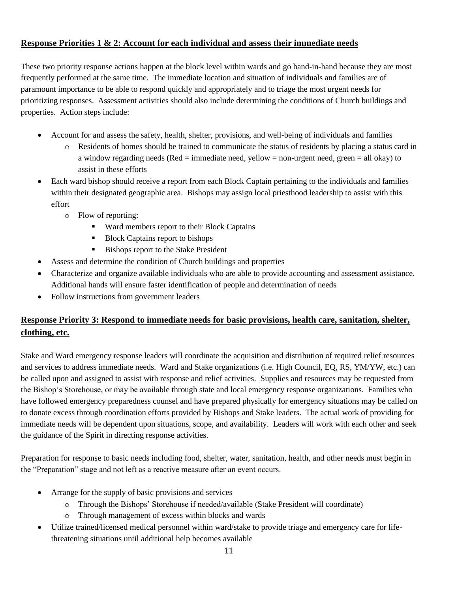### **Response Priorities 1 & 2: Account for each individual and assess their immediate needs**

These two priority response actions happen at the block level within wards and go hand-in-hand because they are most frequently performed at the same time. The immediate location and situation of individuals and families are of paramount importance to be able to respond quickly and appropriately and to triage the most urgent needs for prioritizing responses. Assessment activities should also include determining the conditions of Church buildings and properties. Action steps include:

- Account for and assess the safety, health, shelter, provisions, and well-being of individuals and families
	- o Residents of homes should be trained to communicate the status of residents by placing a status card in a window regarding needs (Red = immediate need, yellow = non-urgent need, green = all okay) to assist in these efforts
- Each ward bishop should receive a report from each Block Captain pertaining to the individuals and families within their designated geographic area. Bishops may assign local priesthood leadership to assist with this effort
	- o Flow of reporting:
		- Ward members report to their Block Captains
		- Block Captains report to bishops
		- Bishops report to the Stake President
- Assess and determine the condition of Church buildings and properties
- Characterize and organize available individuals who are able to provide accounting and assessment assistance. Additional hands will ensure faster identification of people and determination of needs
- Follow instructions from government leaders

### **Response Priority 3: Respond to immediate needs for basic provisions, health care, sanitation, shelter, clothing, etc.**

Stake and Ward emergency response leaders will coordinate the acquisition and distribution of required relief resources and services to address immediate needs. Ward and Stake organizations (i.e. High Council, EQ, RS, YM/YW, etc.) can be called upon and assigned to assist with response and relief activities. Supplies and resources may be requested from the Bishop's Storehouse, or may be available through state and local emergency response organizations. Families who have followed emergency preparedness counsel and have prepared physically for emergency situations may be called on to donate excess through coordination efforts provided by Bishops and Stake leaders. The actual work of providing for immediate needs will be dependent upon situations, scope, and availability. Leaders will work with each other and seek the guidance of the Spirit in directing response activities.

Preparation for response to basic needs including food, shelter, water, sanitation, health, and other needs must begin in the "Preparation" stage and not left as a reactive measure after an event occurs.

- Arrange for the supply of basic provisions and services
	- o Through the Bishops' Storehouse if needed/available (Stake President will coordinate)
	- o Through management of excess within blocks and wards
- Utilize trained/licensed medical personnel within ward/stake to provide triage and emergency care for lifethreatening situations until additional help becomes available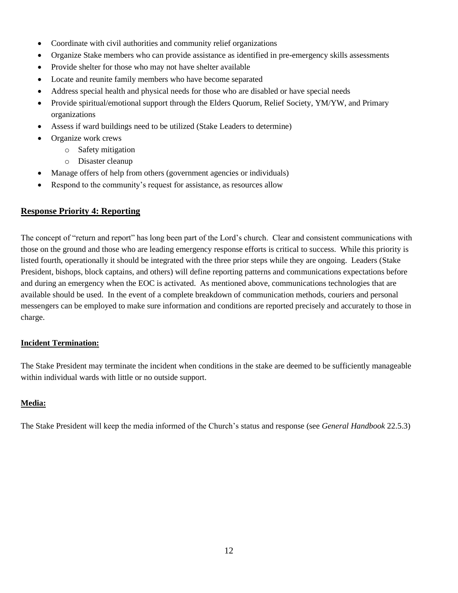- Coordinate with civil authorities and community relief organizations
- Organize Stake members who can provide assistance as identified in pre-emergency skills assessments
- Provide shelter for those who may not have shelter available
- Locate and reunite family members who have become separated
- Address special health and physical needs for those who are disabled or have special needs
- Provide spiritual/emotional support through the Elders Quorum, Relief Society, YM/YW, and Primary organizations
- Assess if ward buildings need to be utilized (Stake Leaders to determine)
- Organize work crews
	- o Safety mitigation
	- o Disaster cleanup
- Manage offers of help from others (government agencies or individuals)
- Respond to the community's request for assistance, as resources allow

### **Response Priority 4: Reporting**

The concept of "return and report" has long been part of the Lord's church. Clear and consistent communications with those on the ground and those who are leading emergency response efforts is critical to success. While this priority is listed fourth, operationally it should be integrated with the three prior steps while they are ongoing. Leaders (Stake President, bishops, block captains, and others) will define reporting patterns and communications expectations before and during an emergency when the EOC is activated. As mentioned above, communications technologies that are available should be used. In the event of a complete breakdown of communication methods, couriers and personal messengers can be employed to make sure information and conditions are reported precisely and accurately to those in charge.

#### **Incident Termination:**

The Stake President may terminate the incident when conditions in the stake are deemed to be sufficiently manageable within individual wards with little or no outside support.

### **Media:**

The Stake President will keep the media informed of the Church's status and response (see *General Handbook* 22.5.3)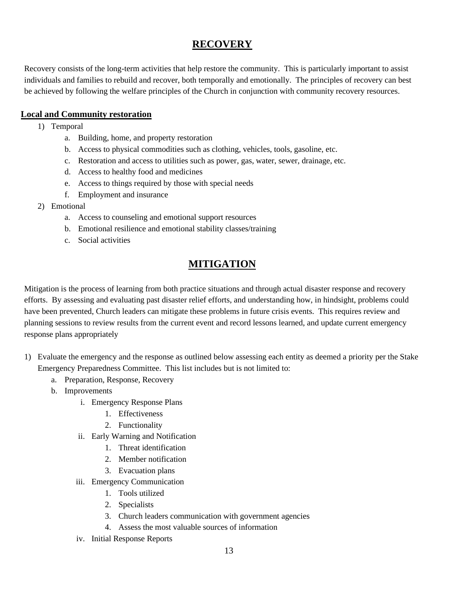### **RECOVERY**

Recovery consists of the long-term activities that help restore the community. This is particularly important to assist individuals and families to rebuild and recover, both temporally and emotionally. The principles of recovery can best be achieved by following the welfare principles of the Church in conjunction with community recovery resources.

### **Local and Community restoration**

- 1) Temporal
	- a. Building, home, and property restoration
	- b. Access to physical commodities such as clothing, vehicles, tools, gasoline, etc.
	- c. Restoration and access to utilities such as power, gas, water, sewer, drainage, etc.
	- d. Access to healthy food and medicines
	- e. Access to things required by those with special needs
	- f. Employment and insurance
- 2) Emotional
	- a. Access to counseling and emotional support resources
	- b. Emotional resilience and emotional stability classes/training
	- c. Social activities

## **MITIGATION**

Mitigation is the process of learning from both practice situations and through actual disaster response and recovery efforts. By assessing and evaluating past disaster relief efforts, and understanding how, in hindsight, problems could have been prevented, Church leaders can mitigate these problems in future crisis events. This requires review and planning sessions to review results from the current event and record lessons learned, and update current emergency response plans appropriately

- 1) Evaluate the emergency and the response as outlined below assessing each entity as deemed a priority per the Stake Emergency Preparedness Committee. This list includes but is not limited to:
	- a. Preparation, Response, Recovery
	- b. Improvements
		- i. Emergency Response Plans
			- 1. Effectiveness
			- 2. Functionality
		- ii. Early Warning and Notification
			- 1. Threat identification
			- 2. Member notification
			- 3. Evacuation plans
		- iii. Emergency Communication
			- 1. Tools utilized
			- 2. Specialists
			- 3. Church leaders communication with government agencies
			- 4. Assess the most valuable sources of information
		- iv. Initial Response Reports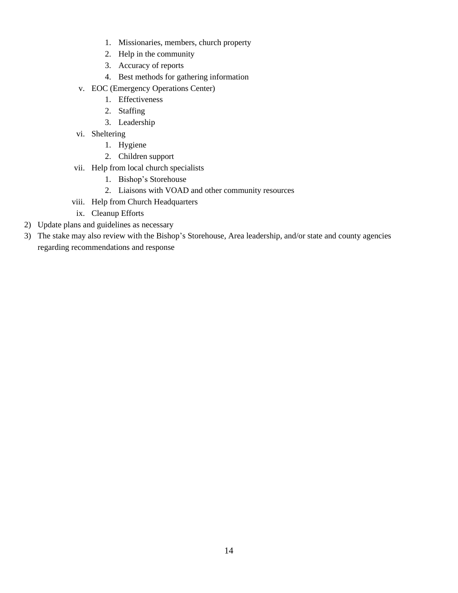- 1. Missionaries, members, church property
- 2. Help in the community
- 3. Accuracy of reports
- 4. Best methods for gathering information
- v. EOC (Emergency Operations Center)
	- 1. Effectiveness
	- 2. Staffing
	- 3. Leadership
- vi. Sheltering
	- 1. Hygiene
	- 2. Children support
- vii. Help from local church specialists
	- 1. Bishop's Storehouse
	- 2. Liaisons with VOAD and other community resources
- viii. Help from Church Headquarters
- ix. Cleanup Efforts
- 2) Update plans and guidelines as necessary
- 3) The stake may also review with the Bishop's Storehouse, Area leadership, and/or state and county agencies regarding recommendations and response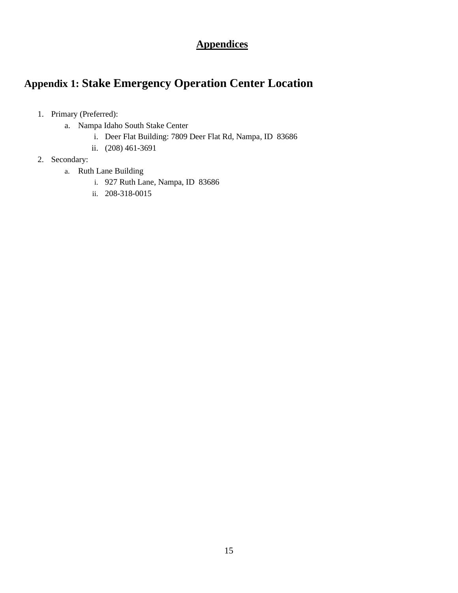## **Appendices**

## **Appendix 1: Stake Emergency Operation Center Location**

- 1. Primary (Preferred):
	- a. Nampa Idaho South Stake Center
		- i. Deer Flat Building: 7809 Deer Flat Rd, Nampa, ID 83686
		- ii. (208) 461-3691
- 2. Secondary:
	- a. Ruth Lane Building
		- i. 927 Ruth Lane, Nampa, ID 83686
		- ii. 208-318-0015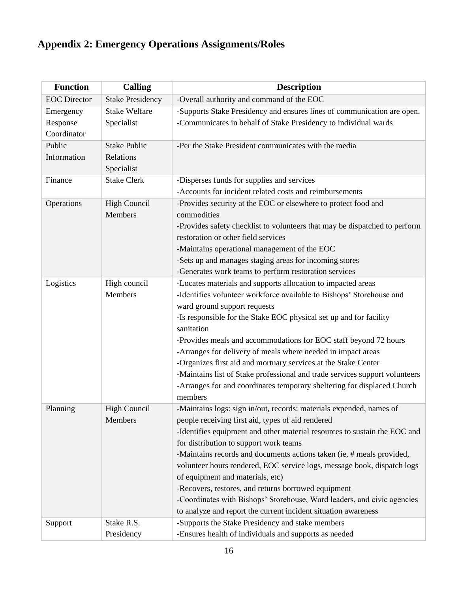## **Appendix 2: Emergency Operations Assignments/Roles**

| <b>Function</b>         | <b>Calling</b>                                 | <b>Description</b>                                                                                                                                                                                                                                                                                                                                                                                                                                                                                                                                                                                                                          |
|-------------------------|------------------------------------------------|---------------------------------------------------------------------------------------------------------------------------------------------------------------------------------------------------------------------------------------------------------------------------------------------------------------------------------------------------------------------------------------------------------------------------------------------------------------------------------------------------------------------------------------------------------------------------------------------------------------------------------------------|
| <b>EOC</b> Director     | <b>Stake Presidency</b>                        | -Overall authority and command of the EOC                                                                                                                                                                                                                                                                                                                                                                                                                                                                                                                                                                                                   |
| Emergency               | <b>Stake Welfare</b>                           | -Supports Stake Presidency and ensures lines of communication are open.                                                                                                                                                                                                                                                                                                                                                                                                                                                                                                                                                                     |
| Response<br>Coordinator | Specialist                                     | -Communicates in behalf of Stake Presidency to individual wards                                                                                                                                                                                                                                                                                                                                                                                                                                                                                                                                                                             |
| Public<br>Information   | <b>Stake Public</b><br>Relations<br>Specialist | -Per the Stake President communicates with the media                                                                                                                                                                                                                                                                                                                                                                                                                                                                                                                                                                                        |
| Finance                 | <b>Stake Clerk</b>                             | -Disperses funds for supplies and services<br>-Accounts for incident related costs and reimbursements                                                                                                                                                                                                                                                                                                                                                                                                                                                                                                                                       |
| Operations              | <b>High Council</b><br>Members                 | -Provides security at the EOC or elsewhere to protect food and<br>commodities<br>-Provides safety checklist to volunteers that may be dispatched to perform<br>restoration or other field services<br>-Maintains operational management of the EOC<br>-Sets up and manages staging areas for incoming stores<br>-Generates work teams to perform restoration services                                                                                                                                                                                                                                                                       |
| Logistics               | High council<br>Members                        | -Locates materials and supports allocation to impacted areas<br>-Identifies volunteer workforce available to Bishops' Storehouse and<br>ward ground support requests<br>-Is responsible for the Stake EOC physical set up and for facility<br>sanitation<br>-Provides meals and accommodations for EOC staff beyond 72 hours<br>-Arranges for delivery of meals where needed in impact areas<br>-Organizes first aid and mortuary services at the Stake Center<br>-Maintains list of Stake professional and trade services support volunteers<br>-Arranges for and coordinates temporary sheltering for displaced Church<br>members         |
| Planning                | <b>High Council</b><br>Members                 | -Maintains logs: sign in/out, records: materials expended, names of<br>people receiving first aid, types of aid rendered<br>-Identifies equipment and other material resources to sustain the EOC and<br>for distribution to support work teams<br>-Maintains records and documents actions taken (ie, # meals provided,<br>volunteer hours rendered, EOC service logs, message book, dispatch logs<br>of equipment and materials, etc)<br>-Recovers, restores, and returns borrowed equipment<br>-Coordinates with Bishops' Storehouse, Ward leaders, and civic agencies<br>to analyze and report the current incident situation awareness |
| Support                 | Stake R.S.<br>Presidency                       | -Supports the Stake Presidency and stake members<br>-Ensures health of individuals and supports as needed                                                                                                                                                                                                                                                                                                                                                                                                                                                                                                                                   |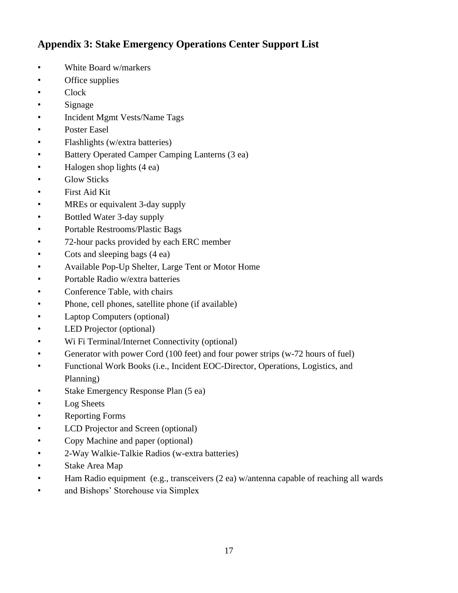## **Appendix 3: Stake Emergency Operations Center Support List**

- White Board w/markers
- Office supplies
- Clock
- Signage
- Incident Mgmt Vests/Name Tags
- Poster Easel
- Flashlights (w/extra batteries)
- Battery Operated Camper Camping Lanterns (3 ea)
- Halogen shop lights (4 ea)
- Glow Sticks
- First Aid Kit
- MREs or equivalent 3-day supply
- Bottled Water 3-day supply
- Portable Restrooms/Plastic Bags
- 72-hour packs provided by each ERC member
- Cots and sleeping bags (4 ea)
- Available Pop-Up Shelter, Large Tent or Motor Home
- Portable Radio w/extra batteries
- Conference Table, with chairs
- Phone, cell phones, satellite phone (if available)
- Laptop Computers (optional)
- LED Projector (optional)
- Wi Fi Terminal/Internet Connectivity (optional)
- Generator with power Cord (100 feet) and four power strips (w-72 hours of fuel)
- Functional Work Books (i.e., Incident EOC-Director, Operations, Logistics, and Planning)
- Stake Emergency Response Plan (5 ea)
- Log Sheets
- Reporting Forms
- LCD Projector and Screen (optional)
- Copy Machine and paper (optional)
- 2-Way Walkie-Talkie Radios (w-extra batteries)
- Stake Area Map
- Ham Radio equipment (e.g., transceivers (2 ea) w/antenna capable of reaching all wards
- and Bishops' Storehouse via Simplex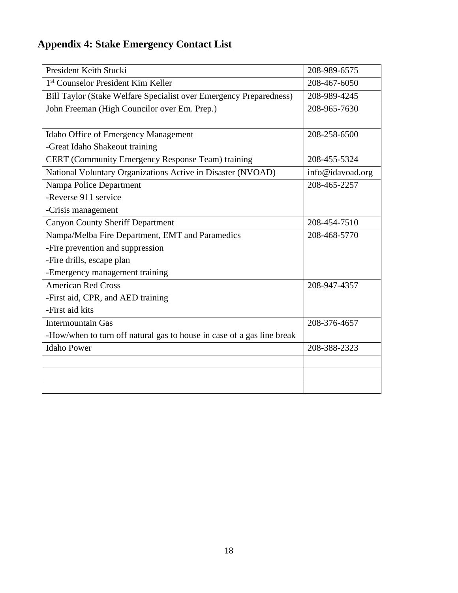## **Appendix 4: Stake Emergency Contact List**

| President Keith Stucki                                                 | 208-989-6575     |
|------------------------------------------------------------------------|------------------|
| 1 <sup>st</sup> Counselor President Kim Keller                         | 208-467-6050     |
| Bill Taylor (Stake Welfare Specialist over Emergency Preparedness)     | 208-989-4245     |
| John Freeman (High Councilor over Em. Prep.)                           | 208-965-7630     |
|                                                                        |                  |
| Idaho Office of Emergency Management                                   | 208-258-6500     |
| -Great Idaho Shakeout training                                         |                  |
| CERT (Community Emergency Response Team) training                      | 208-455-5324     |
| National Voluntary Organizations Active in Disaster (NVOAD)            | info@idavoad.org |
| Nampa Police Department                                                | 208-465-2257     |
| -Reverse 911 service                                                   |                  |
| -Crisis management                                                     |                  |
| <b>Canyon County Sheriff Department</b>                                | 208-454-7510     |
| Nampa/Melba Fire Department, EMT and Paramedics                        | 208-468-5770     |
| -Fire prevention and suppression                                       |                  |
| -Fire drills, escape plan                                              |                  |
| -Emergency management training                                         |                  |
| <b>American Red Cross</b>                                              | 208-947-4357     |
| -First aid, CPR, and AED training                                      |                  |
| -First aid kits                                                        |                  |
| <b>Intermountain Gas</b>                                               | 208-376-4657     |
| -How/when to turn off natural gas to house in case of a gas line break |                  |
| <b>Idaho Power</b>                                                     | 208-388-2323     |
|                                                                        |                  |
|                                                                        |                  |
|                                                                        |                  |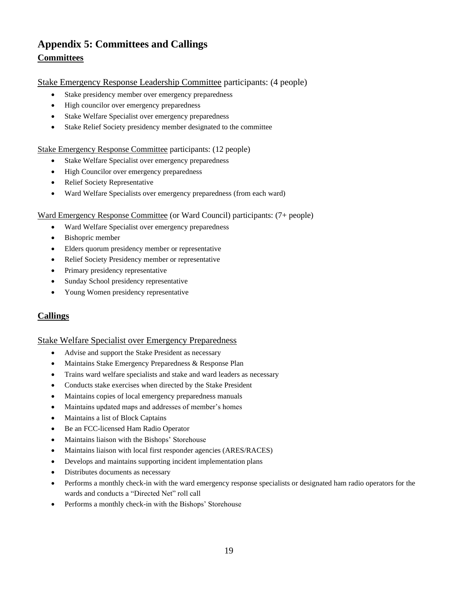## **Appendix 5: Committees and Callings Committees**

#### Stake Emergency Response Leadership Committee participants: (4 people)

- Stake presidency member over emergency preparedness
- High councilor over emergency preparedness
- Stake Welfare Specialist over emergency preparedness
- Stake Relief Society presidency member designated to the committee

#### Stake Emergency Response Committee participants: (12 people)

- Stake Welfare Specialist over emergency preparedness
- High Councilor over emergency preparedness
- Relief Society Representative
- Ward Welfare Specialists over emergency preparedness (from each ward)

#### Ward Emergency Response Committee (or Ward Council) participants: (7+ people)

- Ward Welfare Specialist over emergency preparedness
- Bishopric member
- Elders quorum presidency member or representative
- Relief Society Presidency member or representative
- Primary presidency representative
- Sunday School presidency representative
- Young Women presidency representative

### **Callings**

#### Stake Welfare Specialist over Emergency Preparedness

- Advise and support the Stake President as necessary
- Maintains Stake Emergency Preparedness & Response Plan
- Trains ward welfare specialists and stake and ward leaders as necessary
- Conducts stake exercises when directed by the Stake President
- Maintains copies of local emergency preparedness manuals
- Maintains updated maps and addresses of member's homes
- Maintains a list of Block Captains
- Be an FCC-licensed Ham Radio Operator
- Maintains liaison with the Bishops' Storehouse
- Maintains liaison with local first responder agencies (ARES/RACES)
- Develops and maintains supporting incident implementation plans
- Distributes documents as necessary
- Performs a monthly check-in with the ward emergency response specialists or designated ham radio operators for the wards and conducts a "Directed Net" roll call
- Performs a monthly check-in with the Bishops' Storehouse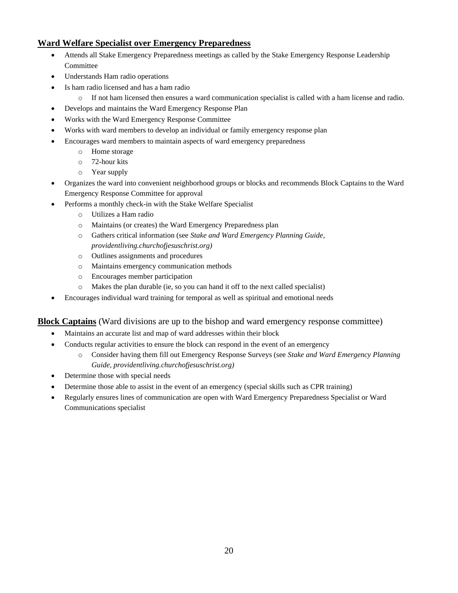### **Ward Welfare Specialist over Emergency Preparedness**

- Attends all Stake Emergency Preparedness meetings as called by the Stake Emergency Response Leadership Committee
- Understands Ham radio operations
- Is ham radio licensed and has a ham radio
	- o If not ham licensed then ensures a ward communication specialist is called with a ham license and radio.
	- Develops and maintains the Ward Emergency Response Plan
- Works with the Ward Emergency Response Committee
- Works with ward members to develop an individual or family emergency response plan
- Encourages ward members to maintain aspects of ward emergency preparedness
	- o Home storage
	- o 72-hour kits
	- o Year supply
- Organizes the ward into convenient neighborhood groups or blocks and recommends Block Captains to the Ward Emergency Response Committee for approval
- Performs a monthly check-in with the Stake Welfare Specialist
	- o Utilizes a Ham radio
	- o Maintains (or creates) the Ward Emergency Preparedness plan
	- o Gathers critical information (see *Stake and Ward Emergency Planning Guide, providentliving.churchofjesuschrist.org)*
	- o Outlines assignments and procedures
	- o Maintains emergency communication methods
	- o Encourages member participation
	- o Makes the plan durable (ie, so you can hand it off to the next called specialist)
- Encourages individual ward training for temporal as well as spiritual and emotional needs

### **Block Captains** (Ward divisions are up to the bishop and ward emergency response committee)

- Maintains an accurate list and map of ward addresses within their block
- Conducts regular activities to ensure the block can respond in the event of an emergency
	- o Consider having them fill out Emergency Response Surveys (see *Stake and Ward Emergency Planning Guide, providentliving.churchofjesuschrist.org)*
- Determine those with special needs
- Determine those able to assist in the event of an emergency (special skills such as CPR training)
- Regularly ensures lines of communication are open with Ward Emergency Preparedness Specialist or Ward Communications specialist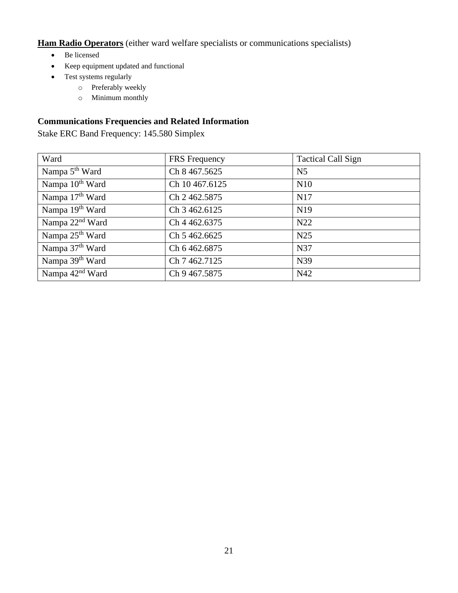**Ham Radio Operators** (either ward welfare specialists or communications specialists)

- Be licensed
- Keep equipment updated and functional
- Test systems regularly
	- o Preferably weekly
	- o Minimum monthly

### **Communications Frequencies and Related Information**

Stake ERC Band Frequency: 145.580 Simplex

| Ward                        | <b>FRS</b> Frequency | <b>Tactical Call Sign</b> |
|-----------------------------|----------------------|---------------------------|
| Nampa 5 <sup>th</sup> Ward  | Ch 8 467.5625        | N <sub>5</sub>            |
| Nampa 10 <sup>th</sup> Ward | Ch 10 467.6125       | N10                       |
| Nampa 17 <sup>th</sup> Ward | Ch 2 462.5875        | N17                       |
| Nampa 19 <sup>th</sup> Ward | Ch 3 462.6125        | N <sub>19</sub>           |
| Nampa 22 <sup>nd</sup> Ward | Ch 4 462.6375        | N <sub>22</sub>           |
| Nampa 25 <sup>th</sup> Ward | Ch 5 462,6625        | N <sub>25</sub>           |
| Nampa 37 <sup>th</sup> Ward | Ch 6 462.6875        | N37                       |
| Nampa 39 <sup>th</sup> Ward | Ch 7 462.7125        | N39                       |
| Nampa 42 <sup>nd</sup> Ward | Ch 9 467.5875        | N42                       |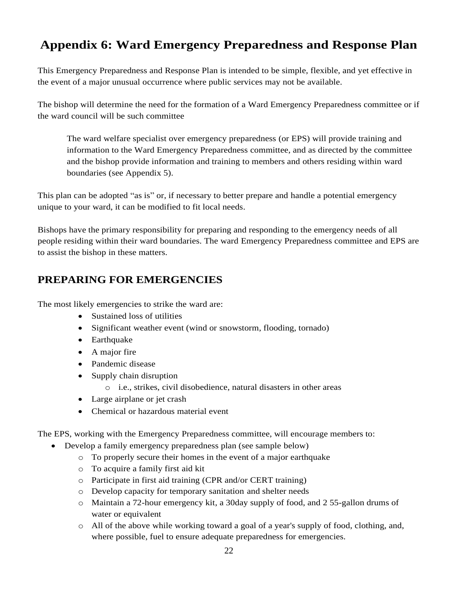## **Appendix 6: Ward Emergency Preparedness and Response Plan**

This Emergency Preparedness and Response Plan is intended to be simple, flexible, and yet effective in the event of a major unusual occurrence where public services may not be available.

The bishop will determine the need for the formation of a Ward Emergency Preparedness committee or if the ward council will be such committee

The ward welfare specialist over emergency preparedness (or EPS) will provide training and information to the Ward Emergency Preparedness committee, and as directed by the committee and the bishop provide information and training to members and others residing within ward boundaries (see Appendix 5).

This plan can be adopted "as is" or, if necessary to better prepare and handle a potential emergency unique to your ward, it can be modified to fit local needs.

Bishops have the primary responsibility for preparing and responding to the emergency needs of all people residing within their ward boundaries. The ward Emergency Preparedness committee and EPS are to assist the bishop in these matters.

## **PREPARING FOR EMERGENCIES**

The most likely emergencies to strike the ward are:

- Sustained loss of utilities
- Significant weather event (wind or snowstorm, flooding, tornado)
- Earthquake
- A major fire
- Pandemic disease
- Supply chain disruption
	- o i.e., strikes, civil disobedience, natural disasters in other areas
- Large airplane or jet crash
- Chemical or hazardous material event

The EPS, working with the Emergency Preparedness committee, will encourage members to:

- Develop a family emergency preparedness plan (see sample below)
	- o To properly secure their homes in the event of a major earthquake
	- o To acquire a family first aid kit
	- o Participate in first aid training (CPR and/or CERT training)
	- o Develop capacity for temporary sanitation and shelter needs
	- o Maintain a 72-hour emergency kit, a 30day supply of food, and 2 55-gallon drums of water or equivalent
	- o All of the above while working toward a goal of a year's supply of food, clothing, and, where possible, fuel to ensure adequate preparedness for emergencies.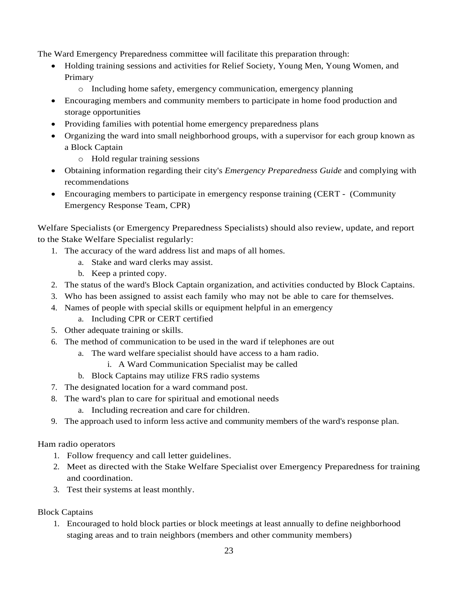The Ward Emergency Preparedness committee will facilitate this preparation through:

- Holding training sessions and activities for Relief Society, Young Men, Young Women, and Primary
	- o Including home safety, emergency communication, emergency planning
- Encouraging members and community members to participate in home food production and storage opportunities
- Providing families with potential home emergency preparedness plans
- Organizing the ward into small neighborhood groups, with a supervisor for each group known as a Block Captain
	- o Hold regular training sessions
- Obtaining information regarding their city's *Emergency Preparedness Guide* and complying with recommendations
- Encouraging members to participate in emergency response training (CERT (Community Emergency Response Team, CPR)

Welfare Specialists (or Emergency Preparedness Specialists) should also review, update, and report to the Stake Welfare Specialist regularly:

- 1. The accuracy of the ward address list and maps of all homes.
	- a. Stake and ward clerks may assist.
	- b. Keep a printed copy.
- 2. The status of the ward's Block Captain organization, and activities conducted by Block Captains.
- 3. Who has been assigned to assist each family who may not be able to care for themselves.
- 4. Names of people with special skills or equipment helpful in an emergency
	- a. Including CPR or CERT certified
- 5. Other adequate training or skills.
- 6. The method of communication to be used in the ward if telephones are out
	- a. The ward welfare specialist should have access to a ham radio.
		- i. A Ward Communication Specialist may be called
	- b. Block Captains may utilize FRS radio systems
- 7. The designated location for a ward command post.
- 8. The ward's plan to care for spiritual and emotional needs
	- a. Including recreation and care for children.
- 9. The approach used to inform less active and community members of the ward's response plan.

### Ham radio operators

- 1. Follow frequency and call letter guidelines.
- 2. Meet as directed with the Stake Welfare Specialist over Emergency Preparedness for training and coordination.
- 3. Test their systems at least monthly.

### Block Captains

1. Encouraged to hold block parties or block meetings at least annually to define neighborhood staging areas and to train neighbors (members and other community members)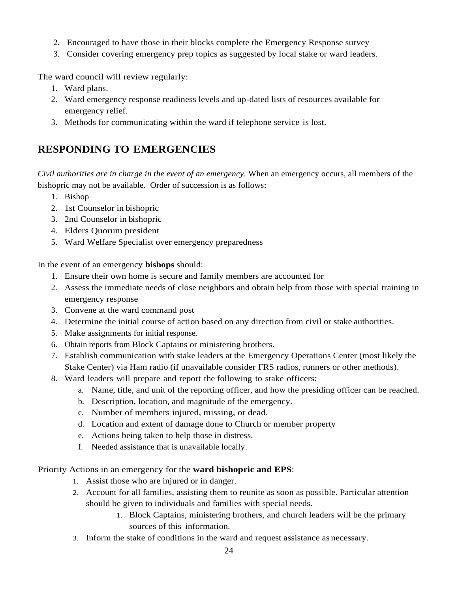- 2. Encouraged to have those in their blocks complete the Emergency Response survey
- 3. Consider covering emergency prep topics as suggested by local stake or ward leaders.

The ward council will review regularly:

- 1. Ward plans.
- 2. Ward emergency response readiness levels and up-dated lists of resources available for emergency relief.
- 3. Methods for communicating within the ward if telephone service is lost.

## **RESPONDING TO EMERGENCIES**

*Civil authorities are in charge in the event of an emergency.* When an emergency occurs, all members of the bishopric may not be available. Order of succession is as follows:

- 1. Bishop
- 2. 1st Counselor in bishopric
- 3. 2nd Counselor in bishopric
- 4. Elders Quorum president
- 5. Ward Welfare Specialist over emergency preparedness

In the event of an emergency **bishops** should:

- 1. Ensure their own home is secure and family members are accounted for
- 2. Assess the immediate needs of close neighbors and obtain help from those with special training in emergency response
- 3. Convene at the ward command post
- 4. Determine the initial course of action based on any direction from civil or stake authorities.
- 5. Make assignments for initial response.
- 6. Obtain reports from Block Captains or ministering brothers.
- 7. Establish communication with stake leaders at the Emergency Operations Center (most likely the Stake Center) via Ham radio (if unavailable consider FRS radios, runners or other methods).
- 8. Ward leaders will prepare and report the following to stake officers:
	- a. Name, title, and unit of the reporting officer, and how the presiding officer can be reached.
	- b. Description, location, and magnitude of the emergency.
	- c. Number of members injured, missing, or dead.
	- d. Location and extent of damage done to Church or member property
	- e. Actions being taken to help those in distress.
	- f. Needed assistance that is unavailable locally.

### Priority Actions in an emergency for the **ward bishopric and EPS**:

- 1. Assist those who are injured or in danger.
- 2. Account for all families, assisting them to reunite as soon as possible. Particular attention should be given to individuals and families with special needs.
	- 1. Block Captains, ministering brothers, and church leaders will be the primary sources of this information.
- 3. Inform the stake of conditions in the ward and request assistance as necessary.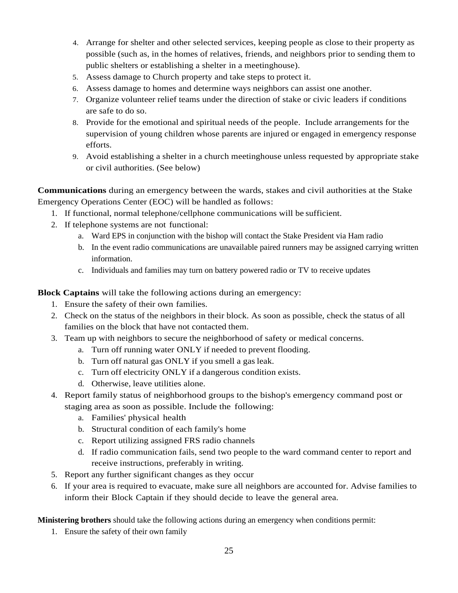- 4. Arrange for shelter and other selected services, keeping people as close to their property as possible (such as, in the homes of relatives, friends, and neighbors prior to sending them to public shelters or establishing a shelter in a meetinghouse).
- 5. Assess damage to Church property and take steps to protect it.
- 6. Assess damage to homes and determine ways neighbors can assist one another.
- 7. Organize volunteer relief teams under the direction of stake or civic leaders if conditions are safe to do so.
- 8. Provide for the emotional and spiritual needs of the people. Include arrangements for the supervision of young children whose parents are injured or engaged in emergency response efforts.
- 9. Avoid establishing a shelter in a church meetinghouse unless requested by appropriate stake or civil authorities. (See below)

**Communications** during an emergency between the wards, stakes and civil authorities at the Stake Emergency Operations Center (EOC) will be handled as follows:

- 1. If functional, normal telephone/cellphone communications will be sufficient.
- 2. If telephone systems are not functional:
	- a. Ward EPS in conjunction with the bishop will contact the Stake President via Ham radio
	- b. In the event radio communications are unavailable paired runners may be assigned carrying written information.
	- c. Individuals and families may turn on battery powered radio or TV to receive updates

**Block Captains** will take the following actions during an emergency:

- 1. Ensure the safety of their own families.
- 2. Check on the status of the neighbors in their block. As soon as possible, check the status of all families on the block that have not contacted them.
- 3. Team up with neighbors to secure the neighborhood of safety or medical concerns.
	- a. Turn off running water ONLY if needed to prevent flooding.
	- b. Turn off natural gas ONLY if you smell a gas leak.
	- c. Turn off electricity ONLY if a dangerous condition exists.
	- d. Otherwise, leave utilities alone.
- 4. Report family status of neighborhood groups to the bishop's emergency command post or staging area as soon as possible. Include the following:
	- a. Families' physical health
	- b. Structural condition of each family's home
	- c. Report utilizing assigned FRS radio channels
	- d. If radio communication fails, send two people to the ward command center to report and receive instructions, preferably in writing.
- 5. Report any further significant changes as they occur
- 6. If your area is required to evacuate, make sure all neighbors are accounted for. Advise families to inform their Block Captain if they should decide to leave the general area.

**Ministering brothers** should take the following actions during an emergency when conditions permit:

1. Ensure the safety of their own family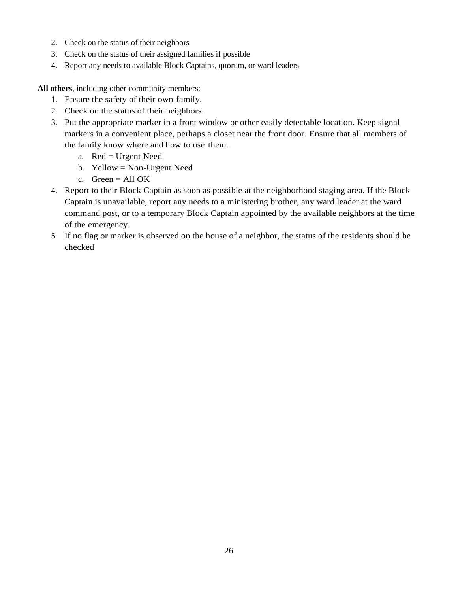- 2. Check on the status of their neighbors
- 3. Check on the status of their assigned families if possible
- 4. Report any needs to available Block Captains, quorum, or ward leaders

**All others**, including other community members:

- 1. Ensure the safety of their own family.
- 2. Check on the status of their neighbors.
- 3. Put the appropriate marker in a front window or other easily detectable location. Keep signal markers in a convenient place, perhaps a closet near the front door. Ensure that all members of the family know where and how to use them.
	- a. Red = Urgent Need
	- b. Yellow = Non-Urgent Need
	- c. Green  $=$  All OK
- 4. Report to their Block Captain as soon as possible at the neighborhood staging area. If the Block Captain is unavailable, report any needs to a ministering brother, any ward leader at the ward command post, or to a temporary Block Captain appointed by the available neighbors at the time of the emergency.
- 5. If no flag or marker is observed on the house of a neighbor, the status of the residents should be checked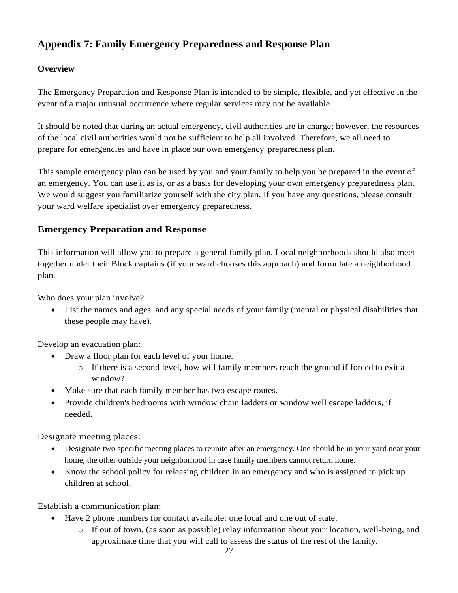## **Appendix 7: Family Emergency Preparedness and Response Plan**

### **Overview**

The Emergency Preparation and Response Plan is intended to be simple, flexible, and yet effective in the event of a major unusual occurrence where regular services may not be available.

It should be noted that during an actual emergency, civil authorities are in charge; however, the resources of the local civil authorities would not be sufficient to help all involved. Therefore, we all need to prepare for emergencies and have in place our own emergency preparedness plan.

This sample emergency plan can be used by you and your family to help you be prepared in the event of an emergency. You can use it as is, or as a basis for developing your own emergency preparedness plan. We would suggest you familiarize yourself with the city plan. If you have any questions, please consult your ward welfare specialist over emergency preparedness.

### **Emergency Preparation and Response**

This information will allow you to prepare a general family plan. Local neighborhoods should also meet together under their Block captains (if your ward chooses this approach) and formulate a neighborhood plan.

Who does your plan involve?

• List the names and ages, and any special needs of your family (mental or physical disabilities that these people may have).

Develop an evacuation plan:

- Draw a floor plan for each level of your home.
	- $\circ$  If there is a second level, how will family members reach the ground if forced to exit a window?
- Make sure that each family member has two escape routes.
- Provide children's bedrooms with window chain ladders or window well escape ladders, if needed.

Designate meeting places:

- Designate two specific meeting places to reunite after an emergency. One should he in your yard near your home, the other outside your neighborhood in case family members cannot return home.
- Know the school policy for releasing children in an emergency and who is assigned to pick up children at school.

Establish a communication plan:

- Have 2 phone numbers for contact available: one local and one out of state.
	- o If out of town, (as soon as possible) relay information about your location, well-being, and approximate time that you will call to assess the status of the rest of the family.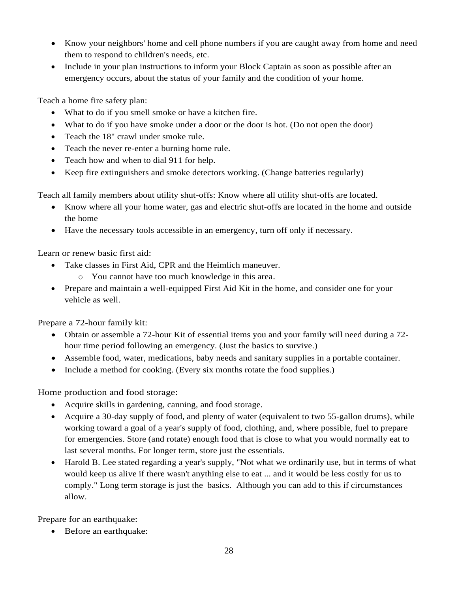- Know your neighbors' home and cell phone numbers if you are caught away from home and need them to respond to children's needs, etc.
- Include in your plan instructions to inform your Block Captain as soon as possible after an emergency occurs, about the status of your family and the condition of your home.

Teach a home fire safety plan:

- What to do if you smell smoke or have a kitchen fire.
- What to do if you have smoke under a door or the door is hot. (Do not open the door)
- Teach the 18" crawl under smoke rule.
- Teach the never re-enter a burning home rule.
- Teach how and when to dial 911 for help.
- Keep fire extinguishers and smoke detectors working. (Change batteries regularly)

Teach all family members about utility shut-offs: Know where all utility shut-offs are located.

- Know where all your home water, gas and electric shut-offs are located in the home and outside the home
- Have the necessary tools accessible in an emergency, turn off only if necessary.

Learn or renew basic first aid:

- Take classes in First Aid, CPR and the Heimlich maneuver.
	- o You cannot have too much knowledge in this area.
- Prepare and maintain a well-equipped First Aid Kit in the home, and consider one for your vehicle as well.

Prepare a 72-hour family kit:

- Obtain or assemble a 72-hour Kit of essential items you and your family will need during a 72 hour time period following an emergency. (Just the basics to survive.)
- Assemble food, water, medications, baby needs and sanitary supplies in a portable container.
- Include a method for cooking. (Every six months rotate the food supplies.)

Home production and food storage:

- Acquire skills in gardening, canning, and food storage.
- Acquire a 30-day supply of food, and plenty of water (equivalent to two 55-gallon drums), while working toward a goal of a year's supply of food, clothing, and, where possible, fuel to prepare for emergencies. Store (and rotate) enough food that is close to what you would normally eat to last several months. For longer term, store just the essentials.
- Harold B. Lee stated regarding a year's supply, "Not what we ordinarily use, but in terms of what would keep us alive if there wasn't anything else to eat ... and it would be less costly for us to comply." Long term storage is just the basics. Although you can add to this if circumstances allow.

Prepare for an earthquake:

• Before an earthquake: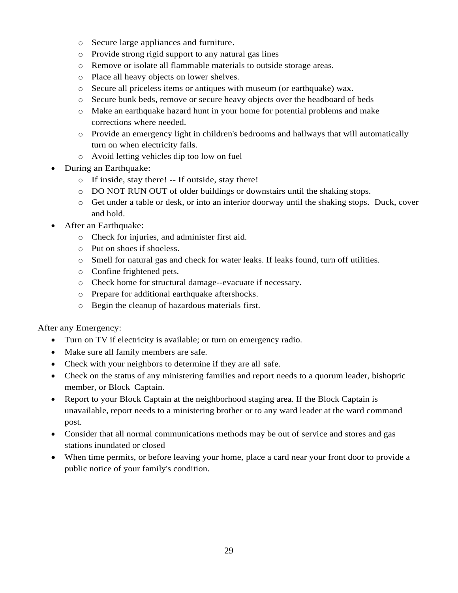- o Secure large appliances and furniture.
- o Provide strong rigid support to any natural gas lines
- o Remove or isolate all flammable materials to outside storage areas.
- o Place all heavy objects on lower shelves.
- o Secure all priceless items or antiques with museum (or earthquake) wax.
- o Secure bunk beds, remove or secure heavy objects over the headboard of beds
- o Make an earthquake hazard hunt in your home for potential problems and make corrections where needed.
- o Provide an emergency light in children's bedrooms and hallways that will automatically turn on when electricity fails.
- o Avoid letting vehicles dip too low on fuel
- During an Earthquake:
	- o If inside, stay there! -- If outside, stay there!
	- o DO NOT RUN OUT of older buildings or downstairs until the shaking stops.
	- o Get under a table or desk, or into an interior doorway until the shaking stops. Duck, cover and hold.
- After an Earthquake:
	- o Check for injuries, and administer first aid.
	- o Put on shoes if shoeless.
	- o Smell for natural gas and check for water leaks. If leaks found, turn off utilities.
	- o Confine frightened pets.
	- o Check home for structural damage--evacuate if necessary.
	- o Prepare for additional earthquake aftershocks.
	- o Begin the cleanup of hazardous materials first.

After any Emergency:

- Turn on TV if electricity is available; or turn on emergency radio.
- Make sure all family members are safe.
- Check with your neighbors to determine if they are all safe.
- Check on the status of any ministering families and report needs to a quorum leader, bishopric member, or Block Captain.
- Report to your Block Captain at the neighborhood staging area. If the Block Captain is unavailable, report needs to a ministering brother or to any ward leader at the ward command post.
- Consider that all normal communications methods may be out of service and stores and gas stations inundated or closed
- When time permits, or before leaving your home, place a card near your front door to provide a public notice of your family's condition.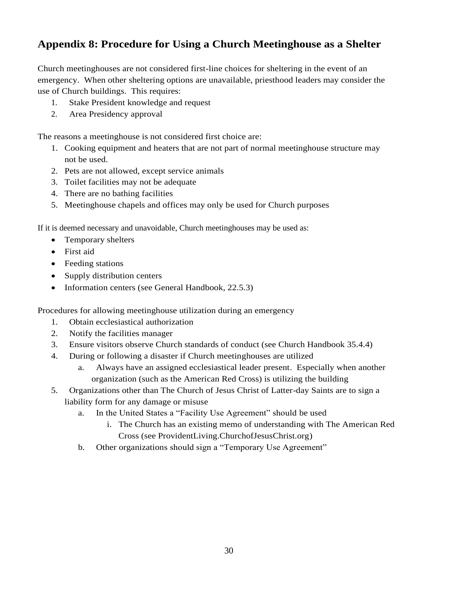## **Appendix 8: Procedure for Using a Church Meetinghouse as a Shelter**

Church meetinghouses are not considered first-line choices for sheltering in the event of an emergency. When other sheltering options are unavailable, priesthood leaders may consider the use of Church buildings. This requires:

- 1. Stake President knowledge and request
- 2. Area Presidency approval

The reasons a meetinghouse is not considered first choice are:

- 1. Cooking equipment and heaters that are not part of normal meetinghouse structure may not be used.
- 2. Pets are not allowed, except service animals
- 3. Toilet facilities may not be adequate
- 4. There are no bathing facilities
- 5. Meetinghouse chapels and offices may only be used for Church purposes

If it is deemed necessary and unavoidable, Church meetinghouses may be used as:

- Temporary shelters
- First aid
- Feeding stations
- Supply distribution centers
- Information centers (see General Handbook, 22.5.3)

Procedures for allowing meetinghouse utilization during an emergency

- 1. Obtain ecclesiastical authorization
- 2. Notify the facilities manager
- 3. Ensure visitors observe Church standards of conduct (see Church Handbook 35.4.4)
- 4. During or following a disaster if Church meetinghouses are utilized
	- a. Always have an assigned ecclesiastical leader present. Especially when another organization (such as the American Red Cross) is utilizing the building
- 5. Organizations other than The Church of Jesus Christ of Latter-day Saints are to sign a liability form for any damage or misuse
	- a. In the United States a "Facility Use Agreement" should be used
		- i. The Church has an existing memo of understanding with The American Red Cross (see ProvidentLiving.ChurchofJesusChrist.org)
	- b. Other organizations should sign a "Temporary Use Agreement"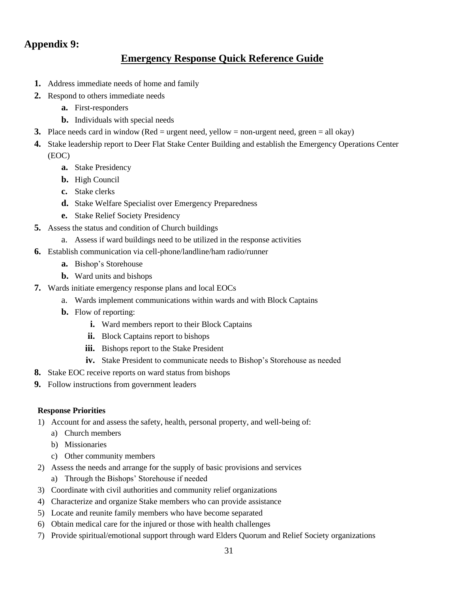### **Appendix 9:**

### **Emergency Response Quick Reference Guide**

- **1.** Address immediate needs of home and family
- **2.** Respond to others immediate needs
	- **a.** First-responders
	- **b.** Individuals with special needs
- **3.** Place needs card in window (Red = urgent need, yellow = non-urgent need, green = all okay)
- **4.** Stake leadership report to Deer Flat Stake Center Building and establish the Emergency Operations Center (EOC)
	- **a.** Stake Presidency
	- **b.** High Council
	- **c.** Stake clerks
	- **d.** Stake Welfare Specialist over Emergency Preparedness
	- **e.** Stake Relief Society Presidency
- **5.** Assess the status and condition of Church buildings
	- a. Assess if ward buildings need to be utilized in the response activities
- **6.** Establish communication via cell-phone/landline/ham radio/runner
	- **a.** Bishop's Storehouse
	- **b.** Ward units and bishops
- **7.** Wards initiate emergency response plans and local EOCs
	- a. Wards implement communications within wards and with Block Captains
	- **b.** Flow of reporting:
		- **i.** Ward members report to their Block Captains
		- **ii.** Block Captains report to bishops
		- **iii.** Bishops report to the Stake President
		- **iv.** Stake President to communicate needs to Bishop's Storehouse as needed
- **8.** Stake EOC receive reports on ward status from bishops
- **9.** Follow instructions from government leaders

#### **Response Priorities**

- 1) Account for and assess the safety, health, personal property, and well-being of:
	- a) Church members
	- b) Missionaries
	- c) Other community members
- 2) Assess the needs and arrange for the supply of basic provisions and services a) Through the Bishops' Storehouse if needed
- 3) Coordinate with civil authorities and community relief organizations
- 4) Characterize and organize Stake members who can provide assistance
- 5) Locate and reunite family members who have become separated
- 6) Obtain medical care for the injured or those with health challenges
- 7) Provide spiritual/emotional support through ward Elders Quorum and Relief Society organizations